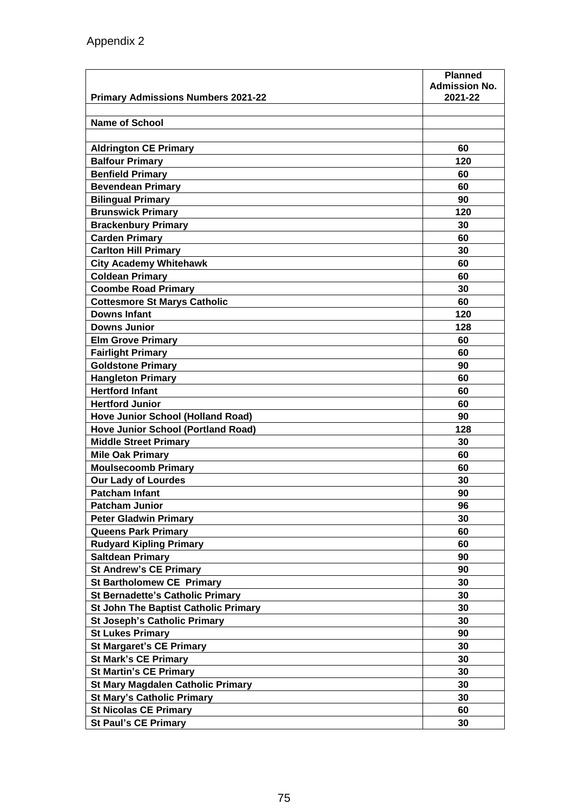| <b>Primary Admissions Numbers 2021-22</b>   | <b>Planned</b><br><b>Admission No.</b><br>2021-22 |
|---------------------------------------------|---------------------------------------------------|
|                                             |                                                   |
| Name of School                              |                                                   |
|                                             | 60                                                |
| <b>Aldrington CE Primary</b>                |                                                   |
| <b>Balfour Primary</b>                      | 120<br>60                                         |
| <b>Benfield Primary</b>                     |                                                   |
| <b>Bevendean Primary</b>                    | 60                                                |
| <b>Bilingual Primary</b>                    | 90                                                |
| <b>Brunswick Primary</b>                    | 120                                               |
| <b>Brackenbury Primary</b>                  | 30                                                |
| <b>Carden Primary</b>                       | 60                                                |
| <b>Carlton Hill Primary</b>                 | 30                                                |
| <b>City Academy Whitehawk</b>               | 60                                                |
| <b>Coldean Primary</b>                      | 60                                                |
| <b>Coombe Road Primary</b>                  | 30                                                |
| <b>Cottesmore St Marys Catholic</b>         | 60                                                |
| <b>Downs Infant</b>                         | 120                                               |
| <b>Downs Junior</b>                         | 128                                               |
| <b>Elm Grove Primary</b>                    | 60                                                |
| <b>Fairlight Primary</b>                    | 60                                                |
| <b>Goldstone Primary</b>                    | 90                                                |
| <b>Hangleton Primary</b>                    | 60                                                |
| <b>Hertford Infant</b>                      | 60                                                |
| <b>Hertford Junior</b>                      | 60                                                |
| <b>Hove Junior School (Holland Road)</b>    | 90                                                |
| <b>Hove Junior School (Portland Road)</b>   | 128                                               |
| <b>Middle Street Primary</b>                | 30                                                |
| <b>Mile Oak Primary</b>                     | 60                                                |
| <b>Moulsecoomb Primary</b>                  | 60                                                |
| <b>Our Lady of Lourdes</b>                  | 30                                                |
| <b>Patcham Infant</b>                       | 90                                                |
| <b>Patcham Junior</b>                       | 96                                                |
| <b>Peter Gladwin Primary</b>                | 30                                                |
| <b>Queens Park Primary</b>                  | 60                                                |
| <b>Rudyard Kipling Primary</b>              | 60                                                |
| <b>Saltdean Primary</b>                     | 90                                                |
| <b>St Andrew's CE Primary</b>               | 90                                                |
| <b>St Bartholomew CE Primary</b>            | 30                                                |
| <b>St Bernadette's Catholic Primary</b>     | 30                                                |
| <b>St John The Baptist Catholic Primary</b> | 30                                                |
| <b>St Joseph's Catholic Primary</b>         | 30                                                |
| <b>St Lukes Primary</b>                     | 90                                                |
| <b>St Margaret's CE Primary</b>             | 30                                                |
| <b>St Mark's CE Primary</b>                 | 30                                                |
| <b>St Martin's CE Primary</b>               | 30                                                |
| <b>St Mary Magdalen Catholic Primary</b>    | 30                                                |
| <b>St Mary's Catholic Primary</b>           | 30                                                |
| <b>St Nicolas CE Primary</b>                | 60                                                |
| <b>St Paul's CE Primary</b>                 | 30                                                |